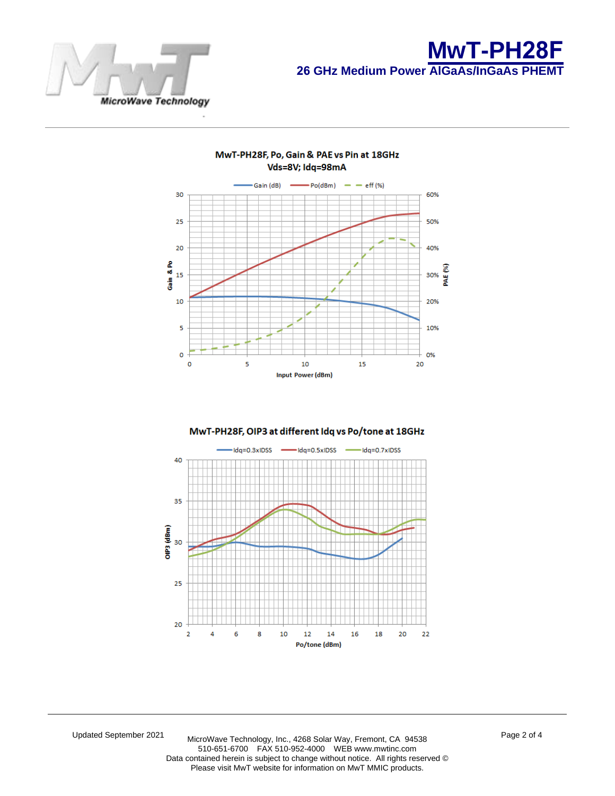

## MwT-PH28F, Po, Gain & PAE vs Pin at 18GHz Vds=8V; Idq=98mA



## MwT-PH28F, OIP3 at different Idq vs Po/tone at 18GHz



Updated October 2021 MicroWave Technology, Inc., 4268 Solar Way, Fremont, CA 94538 510-651-6700 FAX 510-952-4000 WEB www.mwtinc.com Data contained herein is subject to change without notice. All rights reserved © Please visit MwT website for information on MwT MMIC products.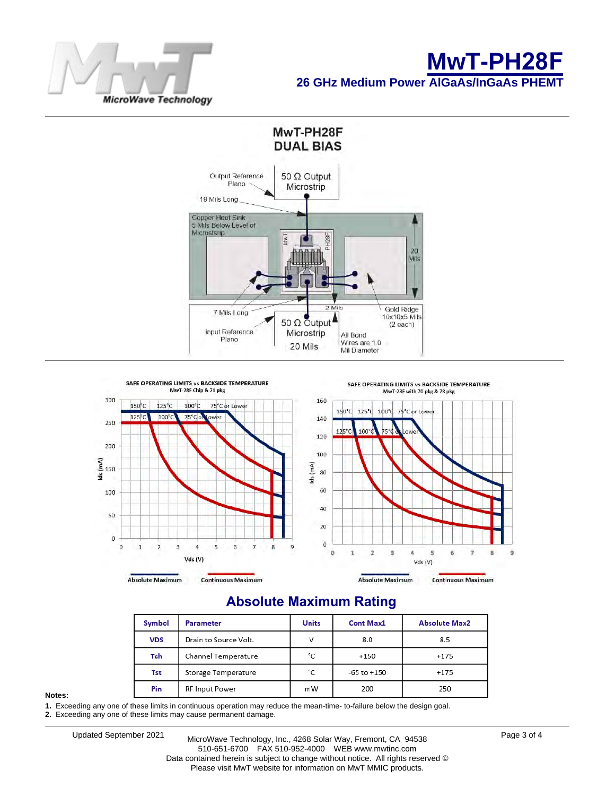





## **Absolute Maximum Rating**

| Symbol     | <b>Parameter</b>      | <b>Units</b> | <b>Cont Max1</b> | <b>Absolute Max2</b> |  |
|------------|-----------------------|--------------|------------------|----------------------|--|
| <b>VDS</b> | Drain to Source Volt. | V            | 8.0              | 8.5                  |  |
| Tch        | Channel Temperature   | °C           | $+150$           | $+175$               |  |
| Tst        | Storage Temperature   | °C           | -65 to +150      | $+175$               |  |
| Pin        | RF Input Power        | mW           | 200              | 250                  |  |

#### **Notes:**

**1.** Exceeding any one of these limits in continuous operation may reduce the mean-time- to-failure below the design goal.

**2.** Exceeding any one of these limits may cause permanent damage.